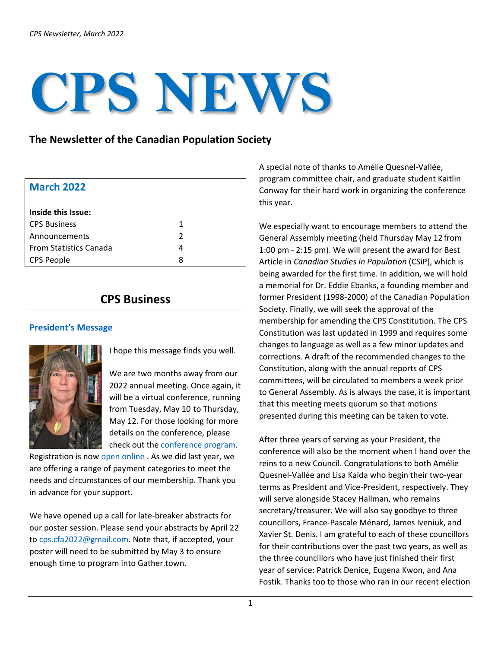# **CPS NEWS**

## **The Newsletter of the Canadian Population Society**

| <b>March 2022</b>             |               |
|-------------------------------|---------------|
| Inside this Issue:            |               |
| <b>CPS Business</b>           | 1             |
| Announcements                 | $\mathcal{P}$ |
| <b>From Statistics Canada</b> | 4             |
| <b>CPS People</b>             | 8             |

# **CPS Business**

#### **President's Message**



I hope this message finds you well.

We are two months away from our 2022 annual meeting. Once again, it will be a virtual conference, running from Tuesday, May 10 to Thursday, May 12. For those looking for more details on the conference, please check out th[e conference program.](https://www.canpopsoc.ca/conferences/upcoming-conferences/)

Registration is now [open online](https://www.eventbrite.ca/e/canadian-population-society-2022-annual-meeting-tickets-258241305697) . As we did last year, we are offering a range of payment categories to meet the needs and circumstances of our membership. Thank you in advance for your support.

We have opened up a call for late-breaker abstracts for our poster session. Please send your abstracts by April 22 to [cps.cfa2022@gmail.com.](mailto:cps.cfa2022@gmail.com) Note that, if accepted, your poster will need to be submitted by May 3 to ensure enough time to program into Gather.town.

A special note of thanks to Amélie Quesnel-Vallée, program committee chair, and graduate student Kaitlin Conway for their hard work in organizing the conference this year.

We especially want to encourage members to attend the General Assembly meeting (held Thursday May 12 from 1:00 pm - 2:15 pm). We will present the award for Best Article in *Canadian Studies in Population* (CSiP), which is being awarded for the first time. In addition, we will hold a memorial for Dr. Eddie Ebanks, a founding member and former President (1998-2000) of the Canadian Population Society. Finally, we will seek the approval of the membership for amending the CPS Constitution. The CPS Constitution was last updated in 1999 and requires some changes to language as well as a few minor updates and corrections. A draft of the recommended changes to the Constitution, along with the annual reports of CPS committees, will be circulated to members a week prior to General Assembly. As is always the case, it is important that this meeting meets quorum so that motions presented during this meeting can be taken to vote.

After three years of serving as your President, the conference will also be the moment when I hand over the reins to a new Council. Congratulations to both Amélie Quesnel-Vallée and Lisa Kaida who begin their two-year terms as President and Vice-President, respectively. They will serve alongside Stacey Hallman, who remains secretary/treasurer. We will also say goodbye to three councillors, France-Pascale Ménard, James Iveniuk, and Xavier St. Denis. I am grateful to each of these councillors for their contributions over the past two years, as well as the three councillors who have just finished their first year of service: Patrick Denice, Eugena Kwon, and Ana Fostik. Thanks too to those who ran in our recent election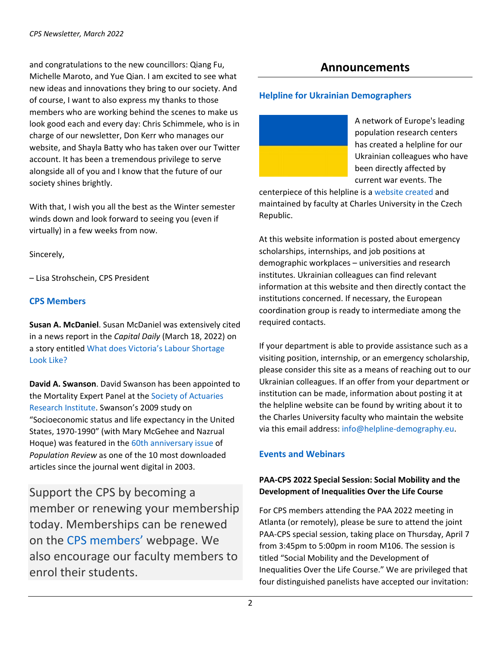and congratulations to the new councillors: Qiang Fu, Michelle Maroto, and Yue Qian. I am excited to see what new ideas and innovations they bring to our society. And of course, I want to also express my thanks to those members who are working behind the scenes to make us look good each and every day: Chris Schimmele, who is in charge of our newsletter, Don Kerr who manages our website, and Shayla Batty who has taken over our Twitter account. It has been a tremendous privilege to serve alongside all of you and I know that the future of our society shines brightly.

With that, I wish you all the best as the Winter semester winds down and look forward to seeing you (even if virtually) in a few weeks from now.

Sincerely,

– Lisa Strohschein, CPS President

#### **CPS Members**

**Susan A. McDaniel**. Susan McDaniel was extensively cited in a news report in the *Capital Daily* (March 18, 2022) on a story entitled [What does Victoria's Labour Shortage](https://www.capitaldaily.ca/news/what-does-victorias-labour-shortage-look-like)  [Look Like?](https://www.capitaldaily.ca/news/what-does-victorias-labour-shortage-look-like)

**David A. Swanson**. David Swanson has been appointed to the Mortality Expert Panel at the [Society of Actuaries](https://www.soa.org/research/research-institute/)  [Research Institute.](https://www.soa.org/research/research-institute/) Swanson's 2009 study on "Socioeconomic status and life expectancy in the United States, 1970-1990" (with Mary McGehee and Nazrual Hoque) was featured in the [60th anniversary issue](https://muse.jhu.edu/article/819828) of *Population Review* as one of the 10 most downloaded articles since the journal went digital in 2003.

Support the CPS by becoming a member or renewing your membership today. Memberships can be renewed on the [CPS members'](https://www.canpopsoc.ca/members/?display=login&returnURL=https%3A%2F%2Fwww%2Ecanpopsoc%2Eca%2Fmembers%2F) webpage. We also encourage our faculty members to enrol their students.

# **Announcements**

#### **Helpline for Ukrainian Demographers**



A network of Europe's leading population research centers has created a helpline for our Ukrainian colleagues who have been directly affected by current war events. The

centerpiece of this helpline is a [website created](https://helpline-demography.eu/) and maintained by faculty at Charles University in the Czech Republic.

At this website information is posted about emergency scholarships, internships, and job positions at demographic workplaces – universities and research institutes. Ukrainian colleagues can find relevant information at this website and then directly contact the institutions concerned. If necessary, the European coordination group is ready to intermediate among the required contacts.

If your department is able to provide assistance such as a visiting position, internship, or an emergency scholarship, please consider this site as a means of reaching out to our Ukrainian colleagues. If an offer from your department or institution can be made, information about posting it at the helpline website can be found by writing about it to the Charles University faculty who maintain the website via this email address: [info@helpline-demography.eu.](mailto:info@helpline-demography.eu)

## **Events and Webinars**

## **PAA-CPS 2022 Special Session: Social Mobility and the Development of Inequalities Over the Life Course**

For CPS members attending the PAA 2022 meeting in Atlanta (or remotely), please be sure to attend the joint PAA-CPS special session, taking place on Thursday, April 7 from 3:45pm to 5:00pm in room M106. The session is titled "Social Mobility and the Development of Inequalities Over the Life Course." We are privileged that four distinguished panelists have accepted our invitation: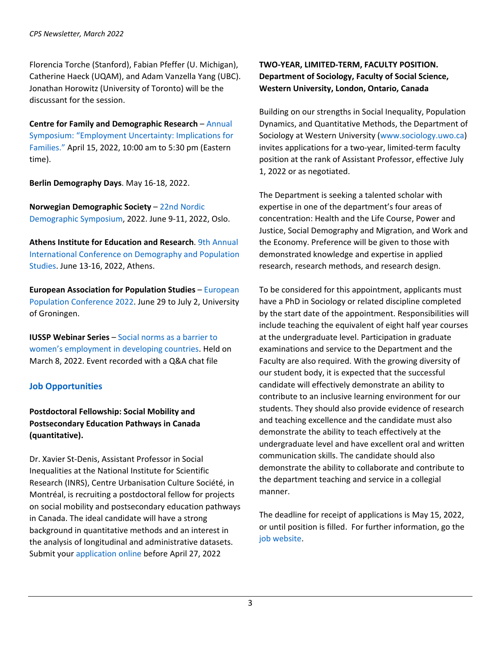Florencia Torche (Stanford), Fabian Pfeffer (U. Michigan), Catherine Haeck (UQAM), and Adam Vanzella Yang (UBC). Jonathan Horowitz (University of Toronto) will be the discussant for the session.

**Centre for Family and Demographic Research** – [Annual](https://www.bgsu.edu/arts-and-sciences/center-for-family-demographic-research/events/symposia.html)  [Symposium: "Employment Uncertainty: Implications for](https://www.bgsu.edu/arts-and-sciences/center-for-family-demographic-research/events/symposia.html)  [Families."](https://www.bgsu.edu/arts-and-sciences/center-for-family-demographic-research/events/symposia.html) April 15, 2022, 10:00 am to 5:30 pm (Eastern time).

**Berlin Demography Days**. May 16-18, 2022.

**Norwegian Demographic Society** – [22nd Nordic](http://nds2021.demografi.no/)  [Demographic Symposium,](http://nds2021.demografi.no/) 2022. June 9-11, 2022, Oslo.

**Athens Institute for Education and Research**. [9th Annual](https://www.atiner.gr/demography/call)  [International Conference on Demography and Population](https://www.atiner.gr/demography/call)  [Studies.](https://www.atiner.gr/demography/call) June 13-16, 2022, Athens.

**European Association for Population Studies** – [European](https://www.eaps.nl/epc/european-population-conference-2022)  [Population Conference 2022.](https://www.eaps.nl/epc/european-population-conference-2022) June 29 to July 2, University of Groningen.

**IUSSP Webinar Series** – [Social norms as a barrier to](https://www.iussp.org/en/iussp-webinar-social-norms-barrier-womens-employment)  [women's employment in developing countries.](https://www.iussp.org/en/iussp-webinar-social-norms-barrier-womens-employment) Held on March 8, 2022. Event recorded with a Q&A chat file

## **Job Opportunities**

**Postdoctoral Fellowship: Social Mobility and Postsecondary Education Pathways in Canada (quantitative).**

Dr. Xavier St-Denis, Assistant Professor in Social Inequalities at the National Institute for Scientific Research (INRS), Centre Urbanisation Culture Société, in Montréal, is recruiting a postdoctoral fellow for projects on social mobility and postsecondary education pathways in Canada. The ideal candidate will have a strong background in quantitative methods and an interest in the analysis of longitudinal and administrative datasets. Submit your [application online](https://inrs.ca/en/studies/postdoctoral-fellowships/finding-a-postdoctoral-fellowship/social-mobility-and-postsecondary-education-pathways-quantitative/) before April 27, 2022

#### **TWO-YEAR, LIMITED-TERM, FACULTY POSITION. Department of Sociology, Faculty of Social Science, Western University, London, Ontario, Canada**

Building on our strengths in Social Inequality, Population Dynamics, and Quantitative Methods, the Department of Sociology at Western University [\(www.sociology.uwo.ca\)](http://www.sociology.uwo.ca/) invites applications for a two-year, limited-term faculty position at the rank of Assistant Professor, effective July 1, 2022 or as negotiated.

The Department is seeking a talented scholar with expertise in one of the department's four areas of concentration: Health and the Life Course, Power and Justice, Social Demography and Migration, and Work and the Economy. Preference will be given to those with demonstrated knowledge and expertise in applied research, research methods, and research design.

To be considered for this appointment, applicants must have a PhD in Sociology or related discipline completed by the start date of the appointment. Responsibilities will include teaching the equivalent of eight half year courses at the undergraduate level. Participation in graduate examinations and service to the Department and the Faculty are also required. With the growing diversity of our student body, it is expected that the successful candidate will effectively demonstrate an ability to contribute to an inclusive learning environment for our students. They should also provide evidence of research and teaching excellence and the candidate must also demonstrate the ability to teach effectively at the undergraduate level and have excellent oral and written communication skills. The candidate should also demonstrate the ability to collaborate and contribute to the department teaching and service in a collegial manner.

The deadline for receipt of applications is May 15, 2022, or until position is filled. For further information, go the [job website.](https://sociology.uwo.ca/about_us/news/notices/Sociology_2_year_faculty_position_2022.pdf)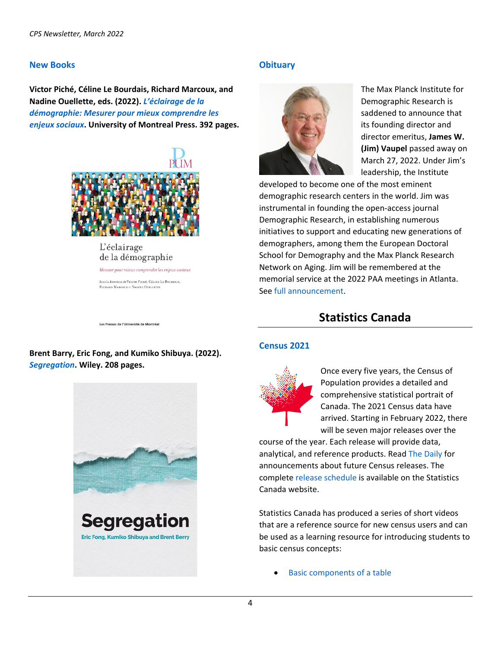#### **New Books**

**Victor Piché, Céline Le Bourdais, Richard Marcoux, and Nadine Ouellette, eds. (2022).** *[L'éclairage de la](https://www.pum.umontreal.ca/catalogue/eclairage_de_la_demographie_l)  [démographie: Mesurer pour mieux comprendre les](https://www.pum.umontreal.ca/catalogue/eclairage_de_la_demographie_l)  [enjeux sociaux](https://www.pum.umontreal.ca/catalogue/eclairage_de_la_demographie_l)***. University of Montreal Press. 392 pages.**



L'éclairage de la démographie

Mesurer pour mieux comprendre les enjeux sociaux Sous la direction de VICTOR PICHÉ, CÉLINE LE BOURDAIS, RICHARD MARCOUX et NADINE QUELLETT

#### **Obituary**



The Max Planck Institute for Demographic Research is saddened to announce that its founding director and director emeritus, **James W. (Jim) Vaupel** passed away on March 27, 2022. Under Jim's leadership, the Institute

developed to become one of the most eminent demographic research centers in the world. Jim was instrumental in founding the open-access journal Demographic Research, in establishing numerous initiatives to support and educating new generations of demographers, among them the European Doctoral School for Demography and the Max Planck Research Network on Aging. Jim will be remembered at the memorial service at the 2022 PAA meetings in Atlanta. See [full announcement.](https://www.demogr.mpg.de/en/news_events_6123/news_press_releases_4630/news/founding_director_james_w_vaupel_passed_away_10490)

# **Statistics Canada**

#### **Census 2021**



Once every five years, the Census of Population provides a detailed and comprehensive statistical portrait of Canada. The 2021 Census data have arrived. Starting in February 2022, there will be seven major releases over the

course of the year. Each release will provide data, analytical, and reference products. Read [The Daily](https://www150.statcan.gc.ca/n1/dai-quo/index-eng.htm?HPA=1) for announcements about future Census releases. The complete [release schedule](https://www12.statcan.gc.ca/census-recensement/2021/ref/prodserv/release-diffusion-eng.cfm) is available on the Statistics Canada website.

Statistics Canada has produced a series of short videos that are a reference source for new census users and can be used as a learning resource for introducing students to basic census concepts:

[Basic components of a table](https://www12.statcan.gc.ca/census-recensement/training-formation/videos/Basic-components-of-a-table.htm)

Les Presses de l'Université de Montréal

## **Brent Barry, Eric Fong, and Kumiko Shibuya. (2022).**  *[Segregation](https://www.politybooks.com/bookdetail?book_slug=segregation--9781509534746)***. Wiley. 208 pages.**

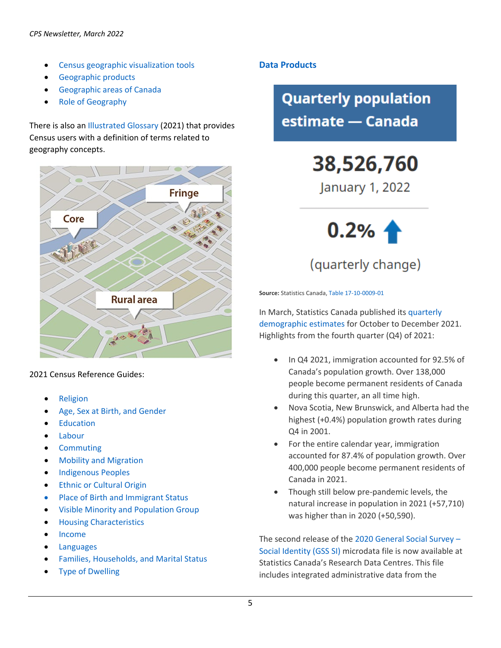- [Census geographic visualization tools](https://www12.statcan.gc.ca/census-recensement/training-formation/videos/Census-geographic-visualization-tools.htm)
- [Geographic products](https://www12.statcan.gc.ca/census-recensement/training-formation/videos/Geographic-products.htm)
- [Geographic areas of Canada](https://www12.statcan.gc.ca/census-recensement/training-formation/videos/Geographic-areas-of-Canada.htm)
- [Role of Geography](https://www12.statcan.gc.ca/census-recensement/training-formation/videos/Role-of-geography.htm)

There is also a[n Illustrated Glossary \(](https://www150.statcan.gc.ca/n1/pub/92-195-x/92-195-x2021001-eng.htm)2021) that provides Census users with a definition of terms related to geography concepts.



2021 Census Reference Guides:

- **[Religion](https://www12.statcan.gc.ca/census-recensement/2021/ref/98-500/016/98-500-x2021016-eng.cfm)**
- [Age, Sex at Birth, and Gender](https://www12.statcan.gc.ca/census-recensement/2021/ref/98-500/014/98-500-x2021014-eng.cfm)
- **[Education](https://www12.statcan.gc.ca/census-recensement/2021/ref/98-500/013/98-500-x2021013-eng.cfm)**
- [Labour](https://www12.statcan.gc.ca/census-recensement/2021/ref/98-500/012/98-500-x2021012-eng.cfm)
- **[Commuting](https://www12.statcan.gc.ca/census-recensement/2021/ref/98-500/011/98-500-x2021011-eng.cfm)**
- [Mobility and Migration](https://www12.statcan.gc.ca/census-recensement/2021/ref/98-500/010/98-500-x2021010-eng.cfm)
- [Indigenous Peoples](https://www12.statcan.gc.ca/census-recensement/2021/ref/98-500/009/98-500-x2021009-eng.cfm)
- [Ethnic or Cultural Origin](https://www12.statcan.gc.ca/census-recensement/2021/ref/98-500/008/98-500-x2021008-eng.cfm)
- [Place of Birth and Immigrant Status](https://www12.statcan.gc.ca/census-recensement/2021/ref/98-500/007/98-500-x2021007-eng.cfm)
- [Visible Minority and Population Group](https://www12.statcan.gc.ca/census-recensement/2021/ref/98-500/006/98-500-x2021006-eng.cfm)
- [Housing Characteristics](https://www12.statcan.gc.ca/census-recensement/2021/ref/98-500/005/98-500-x2021005-eng.cfm)
- [Income](https://www12.statcan.gc.ca/census-recensement/2021/ref/98-500/004/98-500-x2021004-eng.cfm)
- **[Languages](https://www12.statcan.gc.ca/census-recensement/2021/ref/98-500/003/98-500-x2021003-eng.cfm)**
- [Families, Households, and Marital Status](https://www12.statcan.gc.ca/census-recensement/2021/ref/98-500/002/98-500-x2021002-eng.cfm)
- **[Type of Dwelling](https://www12.statcan.gc.ca/census-recensement/2021/ref/98-500/001/98-500-x2021001-eng.cfm)**

## **Data Products**

**Quarterly population** estimate — Canada

> 38,526,760 January 1, 2022



**Source:** Statistics Canada[, Table 17-10-0009-01](https://www150.statcan.gc.ca/t1/tbl1/en/tv.action?pid=1710000901)

In March, Statistics Canada published its [quarterly](https://www150.statcan.gc.ca/n1/pub/91-002-x/91-002-x2021004-eng.htm)  [demographic estimates](https://www150.statcan.gc.ca/n1/pub/91-002-x/91-002-x2021004-eng.htm) for October to December 2021. Highlights from the fourth quarter (Q4) of 2021:

- In Q4 2021, immigration accounted for 92.5% of Canada's population growth. Over 138,000 people become permanent residents of Canada during this quarter, an all time high.
- Nova Scotia, New Brunswick, and Alberta had the highest (+0.4%) population growth rates during Q4 in 2001.
- For the entire calendar year, immigration accounted for 87.4% of population growth. Over 400,000 people become permanent residents of Canada in 2021.
- Though still below pre-pandemic levels, the natural increase in population in 2021 (+57,710) was higher than in 2020 (+50,590).

The second release of the 2020 [General Social Survey –](https://www150.statcan.gc.ca/n1/daily-quotidien/220317/dq220317g-eng.htm) [Social Identity \(GSS SI\)](https://www150.statcan.gc.ca/n1/daily-quotidien/220317/dq220317g-eng.htm) microdata file is now available at Statistics Canada's Research Data Centres. This file includes integrated administrative data from the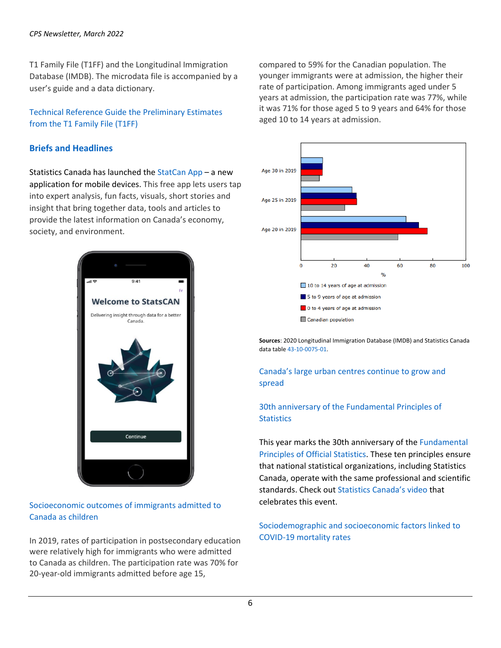#### *CPS Newsletter, March 2022*

T1 Family File (T1FF) and the Longitudinal Immigration Database (IMDB). The microdata file is accompanied by a user's guide and a data dictionary.

## [Technical Reference Guide the Preliminary Estimates](https://www150.statcan.gc.ca/n1/pub/11-26-0001/112600012022001-eng.htm)  [from the T1 Family File \(T1FF\)](https://www150.statcan.gc.ca/n1/pub/11-26-0001/112600012022001-eng.htm)

#### **Briefs and Headlines**

Statistics Canada has launched th[e StatCan](https://www.statcan.gc.ca/en/sc/mobile-applications?utm_campaign=statcan-sma-21-22&utm_medium=eml&utm_source=astaff&utm_content=220131) App – a new application for mobile devices. This free app lets users tap into expert analysis, fun facts, visuals, short stories and insight that bring together data, tools and articles to provide the latest information on Canada's economy, society, and environment.



#### [Socioeconomic outcomes of immigrants admitted to](https://www150.statcan.gc.ca/n1/daily-quotidien/220203/dq220203b-eng.htm)  [Canada as children](https://www150.statcan.gc.ca/n1/daily-quotidien/220203/dq220203b-eng.htm)

In 2019, rates of participation in postsecondary education were relatively high for immigrants who were admitted to Canada as children. The participation rate was 70% for 20-year-old immigrants admitted before age 15,

compared to 59% for the Canadian population. The younger immigrants were at admission, the higher their rate of participation. Among immigrants aged under 5 years at admission, the participation rate was 77%, while it was 71% for those aged 5 to 9 years and 64% for those aged 10 to 14 years at admission.



**Sources**: 2020 Longitudinal Immigration Database (IMDB) and Statistics Canada data tabl[e 43-10-0075-01.](https://www150.statcan.gc.ca/t1/tbl1/en/tv.action?pid=4310007501) 

[Canada's large urban centres continue to grow and](https://www150.statcan.gc.ca/n1/daily-quotidien/220209/dq220209b-eng.htm)  [spread](https://www150.statcan.gc.ca/n1/daily-quotidien/220209/dq220209b-eng.htm)

## [30th anniversary of the Fundamental Principles](https://www150.statcan.gc.ca/n1/daily-quotidien/220211/dq220211h-eng.htm) of **[Statistics](https://www150.statcan.gc.ca/n1/daily-quotidien/220211/dq220211h-eng.htm)**

This year marks the 30th anniversary of the [Fundamental](https://unstats.un.org/unsd/dnss/gp/fundprinciples.aspx)  [Principles of Official Statistics.](https://unstats.un.org/unsd/dnss/gp/fundprinciples.aspx) These ten principles ensure that national statistical organizations, including Statistics Canada, operate with the same professional and scientific standards. Check out [Statistics Canada's video](https://www.statcan.gc.ca/en/sc/video/video-fundamental-principles) that celebrates this event.

[Sociodemographic and socioeconomic factors linked to](https://www150.statcan.gc.ca/n1/daily-quotidien/220308/dq220308d-eng.htm)  [COVID-19 mortality rates](https://www150.statcan.gc.ca/n1/daily-quotidien/220308/dq220308d-eng.htm)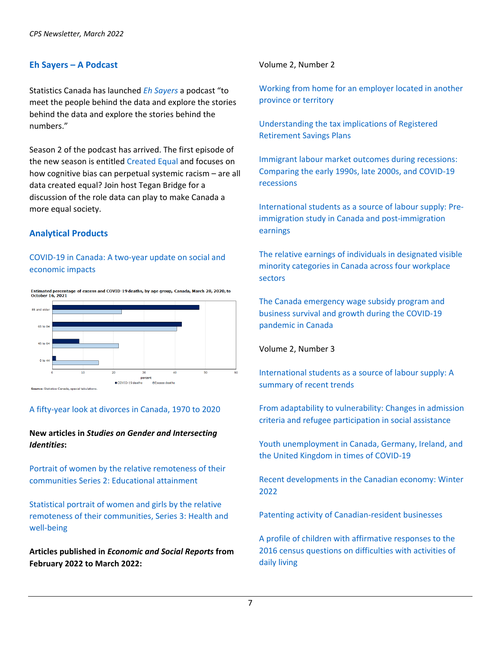#### **Eh Sayers – A Podcast**

Statistics Canada has launched *[Eh Sayers](https://www.statcan.gc.ca/en/sc/podcasts/)* a podcast "to meet the people behind the data and explore the stories behind the data and explore the stories behind the numbers."

Season 2 of the podcast has arrived. The first episode of the new season is entitled [Created Equal a](https://www.statcan.gc.ca/en/sc/podcasts/eh-sayers-s02-ep01)nd focuses on how cognitive bias can perpetual systemic racism – are all data created equal? Join host Tegan Bridge for a discussion of the role data can play to make Canada a more equal society.

#### **Analytical Products**

#### [COVID-19 in Canada: A two-year update on social and](https://www150.statcan.gc.ca/n1/pub/11-631-x/11-631-x2022001-eng.htm)  [economic impacts](https://www150.statcan.gc.ca/n1/pub/11-631-x/11-631-x2022001-eng.htm)



#### [A fifty-year look at divorces in Canada, 1970 to 2020](https://www150.statcan.gc.ca/n1/daily-quotidien/220309/dq220309a-eng.htm)

#### **New articles in** *Studies on Gender and Intersecting Identities***:**

[Portrait of women by the relative remoteness of their](https://www150.statcan.gc.ca/n1/pub/45-20-0002/452000022022001-eng.htm)  [communities Series 2: Educational attainment](https://www150.statcan.gc.ca/n1/pub/45-20-0002/452000022022001-eng.htm)

[Statistical portrait of women and girls by the relative](https://www150.statcan.gc.ca/n1/pub/45-20-0002/452000022022002-eng.htm)  [remoteness of their communities, Series 3: Health and](https://www150.statcan.gc.ca/n1/pub/45-20-0002/452000022022002-eng.htm)  [well-being](https://www150.statcan.gc.ca/n1/pub/45-20-0002/452000022022002-eng.htm)

**Articles published in** *Economic and Social Reports* **from February 2022 to March 2022:**

Volume 2, Number 2

[Working from home for an employer located in another](https://www150.statcan.gc.ca/n1/pub/36-28-0001/2022002/article/00001-eng.htm)  [province or territory](https://www150.statcan.gc.ca/n1/pub/36-28-0001/2022002/article/00001-eng.htm)

[Understanding the tax implications of Registered](https://www150.statcan.gc.ca/n1/pub/36-28-0001/2022002/article/00002-eng.htm)  [Retirement Savings Plans](https://www150.statcan.gc.ca/n1/pub/36-28-0001/2022002/article/00002-eng.htm)

[Immigrant labour market outcomes during recessions:](https://www150.statcan.gc.ca/n1/pub/36-28-0001/2022002/article/00003-eng.htm)  [Comparing the early 1990s, late 2000s, and COVID-19](https://www150.statcan.gc.ca/n1/pub/36-28-0001/2022002/article/00003-eng.htm)  [recessions](https://www150.statcan.gc.ca/n1/pub/36-28-0001/2022002/article/00003-eng.htm)

[International students as a source of labour supply: Pre](https://www150.statcan.gc.ca/n1/pub/36-28-0001/2022002/article/00004-eng.htm)[immigration study in Canada and post-immigration](https://www150.statcan.gc.ca/n1/pub/36-28-0001/2022002/article/00004-eng.htm)  [earnings](https://www150.statcan.gc.ca/n1/pub/36-28-0001/2022002/article/00004-eng.htm)

[The relative earnings of individuals in designated visible](https://www150.statcan.gc.ca/n1/pub/36-28-0001/2022002/article/00005-eng.htm)  [minority categories in Canada across four workplace](https://www150.statcan.gc.ca/n1/pub/36-28-0001/2022002/article/00005-eng.htm)  [sectors](https://www150.statcan.gc.ca/n1/pub/36-28-0001/2022002/article/00005-eng.htm)

[The Canada emergency wage subsidy program and](https://www150.statcan.gc.ca/n1/pub/36-28-0001/2022002/article/00006-eng.htm)  [business survival and growth during the COVID-19](https://www150.statcan.gc.ca/n1/pub/36-28-0001/2022002/article/00006-eng.htm)  [pandemic in Canada](https://www150.statcan.gc.ca/n1/pub/36-28-0001/2022002/article/00006-eng.htm)

#### Volume 2, Number 3

[International students as a source of labour supply: A](https://www150.statcan.gc.ca/n1/pub/36-28-0001/2022003/article/00001-eng.htm)  [summary of recent trends](https://www150.statcan.gc.ca/n1/pub/36-28-0001/2022003/article/00001-eng.htm)

[From adaptability to vulnerability: Changes in admission](https://www150.statcan.gc.ca/n1/pub/36-28-0001/2022003/article/00002-eng.htm)  [criteria and refugee participation in social assistance](https://www150.statcan.gc.ca/n1/pub/36-28-0001/2022003/article/00002-eng.htm)

[Youth unemployment in Canada, Germany, Ireland, and](https://www150.statcan.gc.ca/n1/pub/36-28-0001/2022003/article/00003-eng.htm)  [the United Kingdom in times of COVID-19](https://www150.statcan.gc.ca/n1/pub/36-28-0001/2022003/article/00003-eng.htm)

[Recent developments in the Canadian economy: Winter](https://www150.statcan.gc.ca/n1/pub/36-28-0001/2022003/article/00004-eng.htm)  [2022](https://www150.statcan.gc.ca/n1/pub/36-28-0001/2022003/article/00004-eng.htm)

[Patenting activity of Canadian-resident businesses](https://www150.statcan.gc.ca/n1/pub/36-28-0001/2022003/article/00005-eng.htm)

A profile of [children with affirmative responses to the](https://www150.statcan.gc.ca/n1/pub/36-28-0001/2022003/article/00006-eng.htm)  [2016 census questions on difficulties with activities of](https://www150.statcan.gc.ca/n1/pub/36-28-0001/2022003/article/00006-eng.htm)  [daily living](https://www150.statcan.gc.ca/n1/pub/36-28-0001/2022003/article/00006-eng.htm)